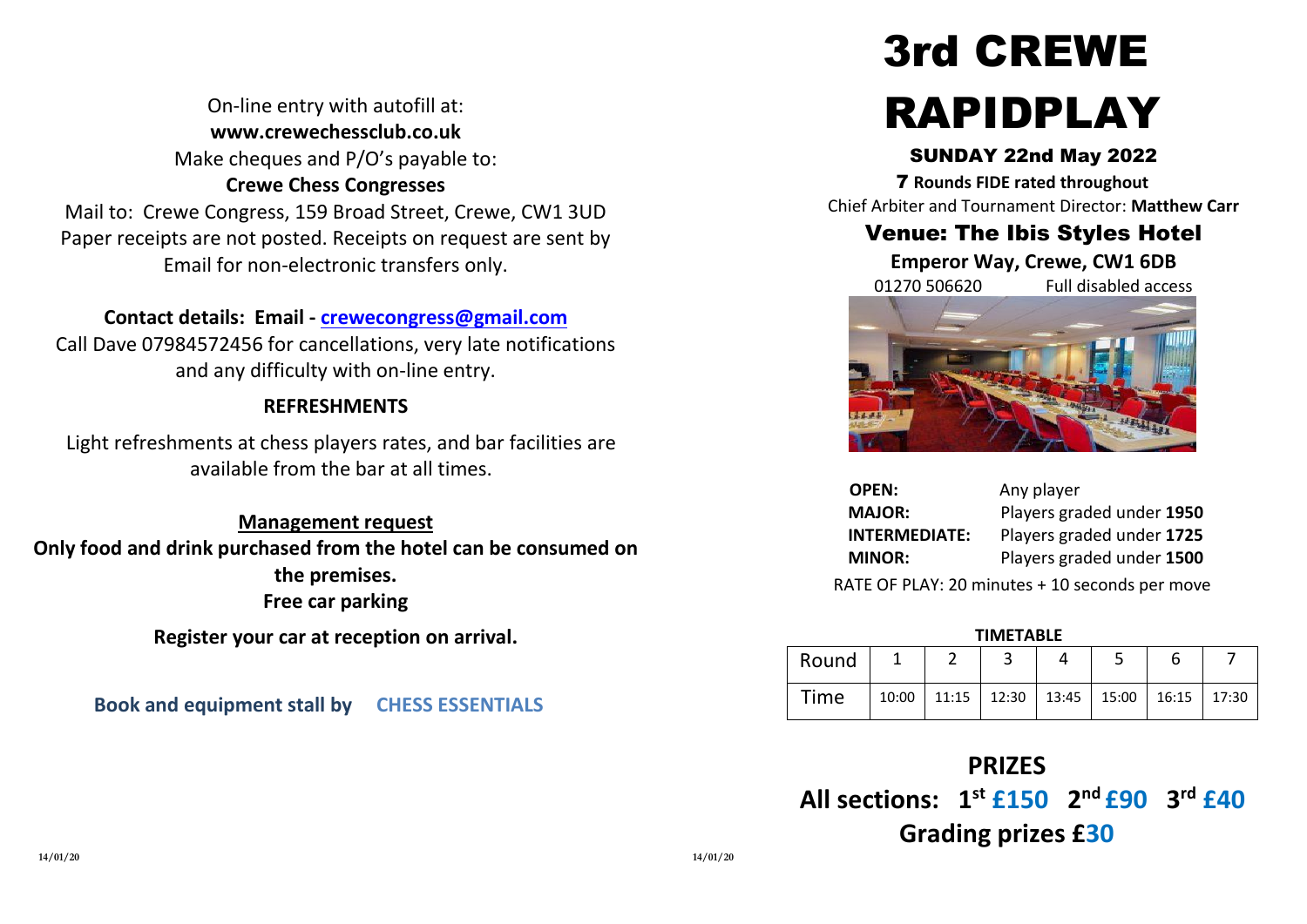On-line entry with autofill at: **www.crewechessclub.co.uk** Make cheques and P/O's payable to: **Crewe Chess Congresses** Mail to: Crewe Congress, 159 Broad Street, Crewe, CW1 3UD Paper receipts are not posted. Receipts on request are sent by Email for non-electronic transfers only.

### **Contact details: Email - [crewecongress@gmail.com](mailto:crewecongress@gmail.com)**

Call Dave 07984572456 for cancellations, very late notifications and any difficulty with on-line entry.

#### **REFRESHMENTS**

Light refreshments at chess players rates, and bar facilities are available from the bar at all times.

**Management request Only food and drink purchased from the hotel can be consumed on the premises. Free car parking**

**Register your car at reception on arrival.**

**Book and equipment stall by CHESS ESSENTIALS**

# 3rd CREWE RAPIDPLAY

#### SUNDAY 22nd May 2022

7 **Rounds FIDE rated throughout** Chief Arbiter and Tournament Director: **Matthew Carr**

# Venue: The Ibis Styles Hotel

**Emperor Way, Crewe, CW1 6DB**

01270 506620 Full disabled access



| <b>OPEN:</b>         | Any player                |
|----------------------|---------------------------|
| <b>MAJOR:</b>        | Players graded under 1950 |
| <b>INTERMEDIATE:</b> | Players graded under 1725 |
| <b>MINOR:</b>        | Players graded under 1500 |
|                      |                           |

RATE OF PLAY: 20 minutes + 10 seconds per move

#### **TIMETABLE**

| Round |                                                         |  |  |  |
|-------|---------------------------------------------------------|--|--|--|
| Time  | $10:00$   11:15   12:30   13:45   15:00   16:15   17:30 |  |  |  |

# **PRIZES**

**All sections: 1st £150 2 nd £90 3 rd £40 Grading prizes £30**